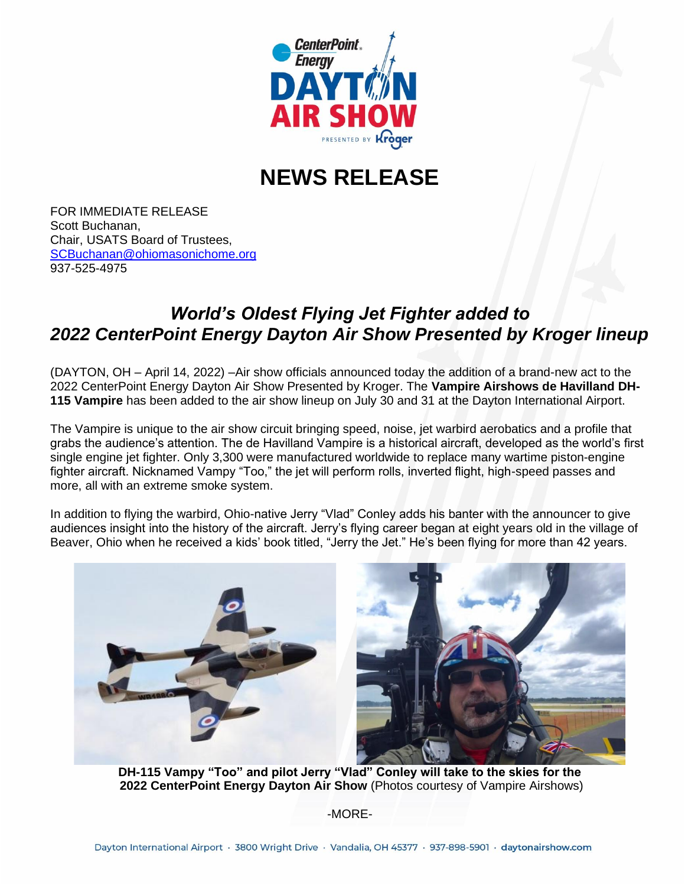

## **NEWS RELEASE**

FOR IMMEDIATE RELEASE Scott Buchanan, Chair, USATS Board of Trustees, [SCBuchanan@ohiomasonichome.org](about:blank) 937-525-4975

## *World's Oldest Flying Jet Fighter added to 2022 CenterPoint Energy Dayton Air Show Presented by Kroger lineup*

(DAYTON, OH – April 14, 2022) –Air show officials announced today the addition of a brand-new act to the 2022 CenterPoint Energy Dayton Air Show Presented by Kroger. The **Vampire Airshows de Havilland DH-115 Vampire** has been added to the air show lineup on July 30 and 31 at the Dayton International Airport.

The Vampire is unique to the air show circuit bringing speed, noise, jet warbird aerobatics and a profile that grabs the audience's attention. The de Havilland Vampire is a historical aircraft, developed as the world's first single engine jet fighter. Only 3,300 were manufactured worldwide to replace many wartime piston-engine fighter aircraft. Nicknamed Vampy "Too," the jet will perform rolls, inverted flight, high-speed passes and more, all with an extreme smoke system.

In addition to flying the warbird, Ohio-native Jerry "Vlad" Conley adds his banter with the announcer to give audiences insight into the history of the aircraft. Jerry's flying career began at eight years old in the village of Beaver, Ohio when he received a kids' book titled, "Jerry the Jet." He's been flying for more than 42 years.



**DH-115 Vampy "Too" and pilot Jerry "Vlad" Conley will take to the skies for the 2022 CenterPoint Energy Dayton Air Show** (Photos courtesy of Vampire Airshows)

-MORE-